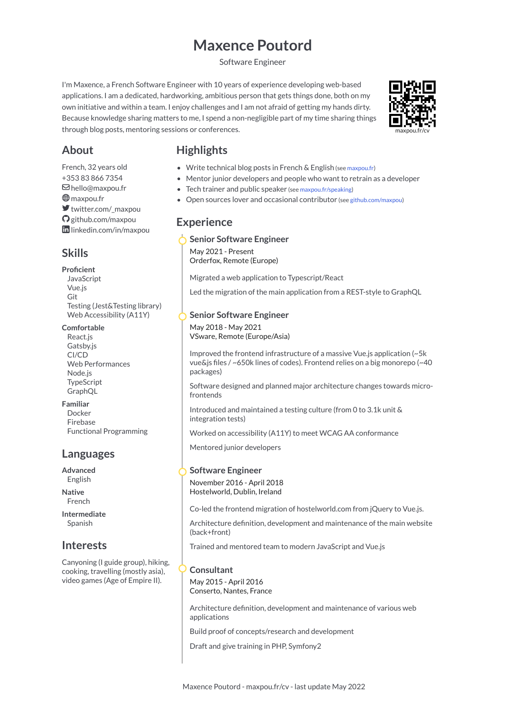# **Maxence Poutord**

Software Engineer

I'm Maxence, a French Software Engineer with 10 years of experience developing web-based applications. I am a dedicated, hardworking, ambitious person that gets things done, both on my own initiative and within a team. I enjoy challenges and I am not afraid of getting my hands dirty. Because knowledge sharing matters to me, I spend a non-negligible part of my time sharing things through blog posts, mentoring sessions or conferences.



# **About**

- French, 32 years old [+353](tel:+353838667354) 83 866 7354 [hello@maxpou.fr](mailto:hello@maxpou.fr) **<sup>⊕</sup>** [maxpou.fr](https://www.maxpou.fr/) [twitter.com/\\_maxpou](https://twitter.com/_maxpou) [github.com/maxpou](https://github.com/maxpou) [linkedin.com/in/maxpou](https://www.linkedin.com/in/maxpou)
- **Skills**

#### **Proficient**

**JavaScript** Vue.js Git Testing (Jest&Testing library) Web Accessibility (A11Y)

#### **Comfortable**

React.js Gatsby.js CI/CD Web Performances Node.js TypeScript GraphQL

#### **Familiar**

Docker Firebase Functional Programming

# **Languages**

**Advanced** English

**Native** French

**Intermediate** Spanish

# **Interests**

Canyoning (I guide group), hiking, cooking, travelling (mostly asia), video games (Age of Empire II).

# **Highlights**

- Write technical blog posts in French & English (see [maxpou.fr\)](https://www.maxpou.fr/)
- Mentor junior developers and people who want to retrain as a developer
- Tech trainer and public speaker (see [maxpou.fr/speaking\)](https://www.maxpou.fr/speaking)
- Open sources lover and occasional contributor (see [github.com/maxpou](https://github.com/maxpou))

# **Experience**

### **Senior Software Engineer**

May 2021 - Present Orderfox, Remote (Europe)

Migrated a web application to Typescript/React

Led the migration of the main application from a REST-style to GraphQL

### **Senior Software Engineer**

May 2018 - May 2021 VSware, Remote (Europe/Asia)

Improved the frontend infrastructure of a massive Vue.js application (~5k vue&js files / ~650k lines of codes). Frontend relies on a big monorepo (~40 packages)

Software designed and planned major architecture changes towards microfrontends

Introduced and maintained a testing culture (from 0 to 3.1k unit & integration tests)

Worked on accessibility (A11Y) to meet WCAG AA conformance

Mentored junior developers

#### **Software Engineer**

November 2016 - April 2018 Hostelworld, Dublin, Ireland

Co-led the frontend migration of hostelworld.com from jQuery to Vue.js.

Architecture definition, development and maintenance of the main website (back+front)

Trained and mentored team to modern JavaScript and Vue.js

#### **Consultant**

May 2015 - April 2016 Conserto, Nantes, France

Architecture definition, development and maintenance of various web applications

Build proof of concepts/research and development

Draft and give training in PHP, Symfony2